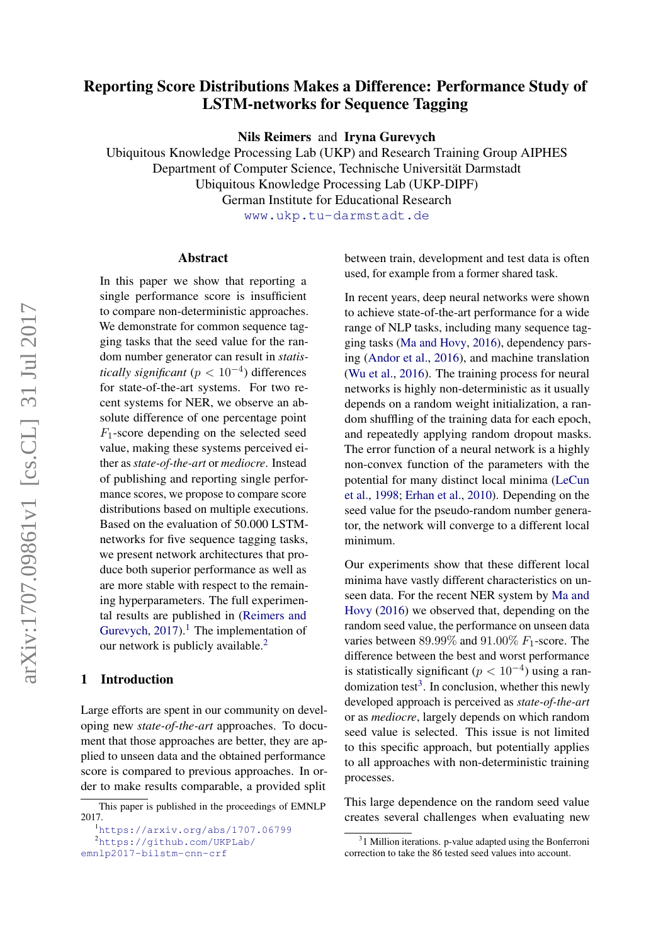# Reporting Score Distributions Makes a Difference: Performance Study of LSTM-networks for Sequence Tagging

Nils Reimers and Iryna Gurevych

Ubiquitous Knowledge Processing Lab (UKP) and Research Training Group AIPHES Department of Computer Science, Technische Universität Darmstadt

Ubiquitous Knowledge Processing Lab (UKP-DIPF)

German Institute for Educational Research

<www.ukp.tu-darmstadt.de>

### Abstract

In this pape[r](#page-0-0) we show that reporting a single performance score is insufficient to compare non-deterministic approaches. We demonstrate for common sequence tagging tasks that the seed value for the random number generator can result in *statistically significant* ( $p < 10^{-4}$ ) differences for state-of-the-art systems. For two recent systems for NER, we observe an absolute difference of one percentage point  $F_1$ -score depending on the selected seed value, making these systems perceived either as *state-of-the-art* or *mediocre*. Instead of publishing and reporting single performance scores, we propose to compare score distributions based on multiple executions. Based on the evaluation of 50.000 LSTMnetworks for five sequence tagging tasks, we present network architectures that produce both superior performance as well as are more stable with respect to the remaining hyperparameters. The full experimental results are published in [\(Reimers and](#page-10-0) [Gurevych,](#page-10-0)  $2017$  $2017$  $2017$ ).<sup>1</sup> The implementation of our network is publicly available.<sup>[2](#page-0-2)</sup>

#### 1 Introduction

Large efforts are spent in our community on developing new *state-of-the-art* approaches. To document that those approaches are better, they are applied to unseen data and the obtained performance score is compared to previous approaches. In order to make results comparable, a provided split between train, development and test data is often used, for example from a former shared task.

In recent years, deep neural networks were shown to achieve state-of-the-art performance for a wide range of NLP tasks, including many sequence tagging tasks [\(Ma and Hovy,](#page-9-0) [2016\)](#page-9-0), dependency parsing [\(Andor et al.,](#page-9-1) [2016\)](#page-9-1), and machine translation [\(Wu et al.,](#page-10-1) [2016\)](#page-10-1). The training process for neural networks is highly non-deterministic as it usually depends on a random weight initialization, a random shuffling of the training data for each epoch, and repeatedly applying random dropout masks. The error function of a neural network is a highly non-convex function of the parameters with the potential for many distinct local minima [\(LeCun](#page-9-2) [et al.,](#page-9-2) [1998;](#page-9-2) [Erhan et al.,](#page-9-3) [2010\)](#page-9-3). Depending on the seed value for the pseudo-random number generator, the network will converge to a different local minimum.

Our experiments show that these different local minima have vastly different characteristics on unseen data. For the recent NER system by [Ma and](#page-9-0) [Hovy](#page-9-0) [\(2016\)](#page-9-0) we observed that, depending on the random seed value, the performance on unseen data varies between  $89.99\%$  and  $91.00\%$   $F_1$ -score. The difference between the best and worst performance is statistically significant ( $p < 10^{-4}$ ) using a ran-domization test<sup>[3](#page-0-3)</sup>. In conclusion, whether this newly developed approach is perceived as *state-of-the-art* or as *mediocre*, largely depends on which random seed value is selected. This issue is not limited to this specific approach, but potentially applies to all approaches with non-deterministic training processes.

This large dependence on the random seed value creates several challenges when evaluating new

<span id="page-0-0"></span>This paper is published in the proceedings of EMNLP 2017.

<span id="page-0-1"></span><sup>1</sup><https://arxiv.org/abs/1707.06799> <sup>2</sup>[https://github.com/UKPLab/](https://github.com/UKPLab/emnlp2017-bilstm-cnn-crf)

<span id="page-0-2"></span>

[emnlp2017-bilstm-cnn-crf](https://github.com/UKPLab/emnlp2017-bilstm-cnn-crf)

<span id="page-0-3"></span><sup>&</sup>lt;sup>3</sup>1 Million iterations. p-value adapted using the Bonferroni correction to take the 86 tested seed values into account.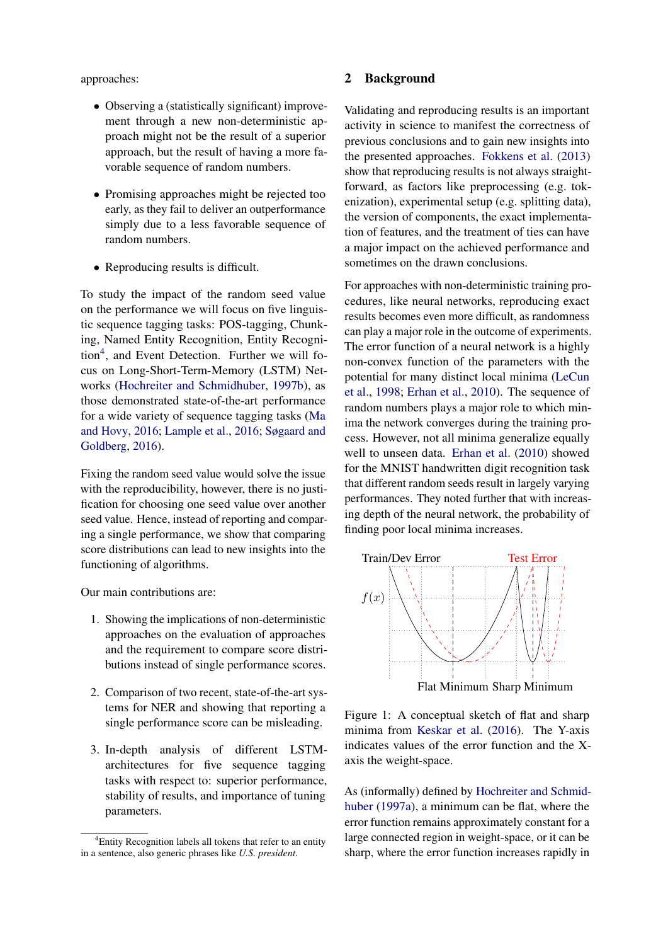## approaches:

- Observing a (statistically significant) improvement through a new non-deterministic approach might not be the result of a superior approach, but the result of having a more favorable sequence of random numbers.
- Promising approaches might be rejected too early, as they fail to deliver an outperformance simply due to a less favorable sequence of random numbers.
- Reproducing results is difficult.

To study the impact of the random seed value on the performance we will focus on five linguistic sequence tagging tasks: POS-tagging, Chunking, Named Entity Recognition, Entity Recogni-tion<sup>[4](#page-1-0)</sup>, and Event Detection. Further we will focus on Long-Short-Term-Memory (LSTM) Networks [\(Hochreiter and Schmidhuber,](#page-9-4) [1997b\)](#page-9-4), as those demonstrated state-of-the-art performance for a wide variety of sequence tagging tasks [\(Ma](#page-9-0) [and Hovy,](#page-9-0) [2016;](#page-9-0) [Lample et al.,](#page-9-5) [2016;](#page-9-5) [Søgaard and](#page-10-2) [Goldberg,](#page-10-2) [2016\)](#page-10-2).

Fixing the random seed value would solve the issue with the reproducibility, however, there is no justification for choosing one seed value over another seed value. Hence, instead of reporting and comparing a single performance, we show that comparing score distributions can lead to new insights into the functioning of algorithms.

Our main contributions are:

- 1. Showing the implications of non-deterministic approaches on the evaluation of approaches and the requirement to compare score distributions instead of single performance scores.
- 2. Comparison of two recent, state-of-the-art systems for NER and showing that reporting a single performance score can be misleading.
- 3. In-depth analysis of different LSTMarchitectures for five sequence tagging tasks with respect to: superior performance, stability of results, and importance of tuning parameters.

## 2 Background

Validating and reproducing results is an important activity in science to manifest the correctness of previous conclusions and to gain new insights into the presented approaches. [Fokkens et al.](#page-9-6) [\(2013\)](#page-9-6) show that reproducing results is not always straightforward, as factors like preprocessing (e.g. tokenization), experimental setup (e.g. splitting data), the version of components, the exact implementation of features, and the treatment of ties can have a major impact on the achieved performance and sometimes on the drawn conclusions.

For approaches with non-deterministic training procedures, like neural networks, reproducing exact results becomes even more difficult, as randomness can play a major role in the outcome of experiments. The error function of a neural network is a highly non-convex function of the parameters with the potential for many distinct local minima [\(LeCun](#page-9-2) [et al.,](#page-9-2) [1998;](#page-9-2) [Erhan et al.,](#page-9-3) [2010\)](#page-9-3). The sequence of random numbers plays a major role to which minima the network converges during the training process. However, not all minima generalize equally well to unseen data. [Erhan et al.](#page-9-3) [\(2010\)](#page-9-3) showed for the MNIST handwritten digit recognition task that different random seeds result in largely varying performances. They noted further that with increasing depth of the neural network, the probability of finding poor local minima increases.

<span id="page-1-1"></span>

Figure 1: A conceptual sketch of flat and sharp minima from [Keskar et al.](#page-9-7) [\(2016\)](#page-9-7). The Y-axis indicates values of the error function and the Xaxis the weight-space.

As (informally) defined by [Hochreiter and Schmid](#page-9-8)[huber](#page-9-8) [\(1997a\)](#page-9-8), a minimum can be flat, where the error function remains approximately constant for a large connected region in weight-space, or it can be sharp, where the error function increases rapidly in

<span id="page-1-0"></span><sup>4</sup>Entity Recognition labels all tokens that refer to an entity in a sentence, also generic phrases like *U.S. president*.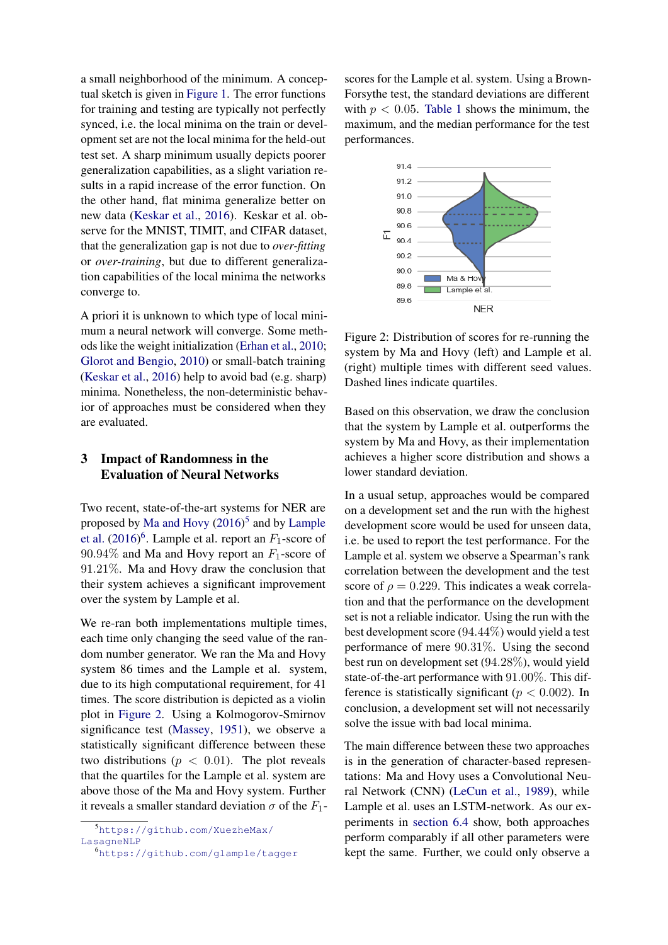a small neighborhood of the minimum. A conceptual sketch is given in [Figure 1.](#page-1-1) The error functions for training and testing are typically not perfectly synced, i.e. the local minima on the train or development set are not the local minima for the held-out test set. A sharp minimum usually depicts poorer generalization capabilities, as a slight variation results in a rapid increase of the error function. On the other hand, flat minima generalize better on new data [\(Keskar et al.,](#page-9-7) [2016\)](#page-9-7). Keskar et al. observe for the MNIST, TIMIT, and CIFAR dataset, that the generalization gap is not due to *over-fitting* or *over-training*, but due to different generalization capabilities of the local minima the networks converge to.

A priori it is unknown to which type of local minimum a neural network will converge. Some methods like the weight initialization [\(Erhan et al.,](#page-9-3) [2010;](#page-9-3) [Glorot and Bengio,](#page-9-9) [2010\)](#page-9-9) or small-batch training [\(Keskar et al.,](#page-9-7) [2016\)](#page-9-7) help to avoid bad (e.g. sharp) minima. Nonetheless, the non-deterministic behavior of approaches must be considered when they are evaluated.

## <span id="page-2-3"></span>3 Impact of Randomness in the Evaluation of Neural Networks

Two recent, state-of-the-art systems for NER are proposed by [Ma and Hovy](#page-9-0) [\(2016\)](#page-9-0) [5](#page-2-0) and by [Lample](#page-9-5) [et al.](#page-9-5)  $(2016)^6$  $(2016)^6$  $(2016)^6$ . Lample et al. report an  $F_1$ -score of  $90.94\%$  and Ma and Hovy report an  $F_1$ -score of 91.21%. Ma and Hovy draw the conclusion that their system achieves a significant improvement over the system by Lample et al.

We re-ran both implementations multiple times, each time only changing the seed value of the random number generator. We ran the Ma and Hovy system 86 times and the Lample et al. system, due to its high computational requirement, for 41 times. The score distribution is depicted as a violin plot in [Figure 2.](#page-2-2) Using a Kolmogorov-Smirnov significance test [\(Massey,](#page-9-10) [1951\)](#page-9-10), we observe a statistically significant difference between these two distributions ( $p < 0.01$ ). The plot reveals that the quartiles for the Lample et al. system are above those of the Ma and Hovy system. Further it reveals a smaller standard deviation  $\sigma$  of the  $F_1$ -

scores for the Lample et al. system. Using a Brown-Forsythe test, the standard deviations are different with  $p < 0.05$ . [Table 1](#page-3-0) shows the minimum, the maximum, and the median performance for the test performances.

<span id="page-2-2"></span>

Figure 2: Distribution of scores for re-running the system by Ma and Hovy (left) and Lample et al. (right) multiple times with different seed values. Dashed lines indicate quartiles.

Based on this observation, we draw the conclusion that the system by Lample et al. outperforms the system by Ma and Hovy, as their implementation achieves a higher score distribution and shows a lower standard deviation.

In a usual setup, approaches would be compared on a development set and the run with the highest development score would be used for unseen data, i.e. be used to report the test performance. For the Lample et al. system we observe a Spearman's rank correlation between the development and the test score of  $\rho = 0.229$ . This indicates a weak correlation and that the performance on the development set is not a reliable indicator. Using the run with the best development score (94.44%) would yield a test performance of mere 90.31%. Using the second best run on development set (94.28%), would yield state-of-the-art performance with 91.00%. This difference is statistically significant ( $p < 0.002$ ). In conclusion, a development set will not necessarily solve the issue with bad local minima.

The main difference between these two approaches is in the generation of character-based representations: Ma and Hovy uses a Convolutional Neural Network (CNN) [\(LeCun et al.,](#page-9-11) [1989\)](#page-9-11), while Lample et al. uses an LSTM-network. As our experiments in [section 6.4](#page-6-0) show, both approaches perform comparably if all other parameters were kept the same. Further, we could only observe a

<span id="page-2-0"></span><sup>5</sup>[https://github.com/XuezheMax/](https://github.com/XuezheMax/LasagneNLP) [LasagneNLP](https://github.com/XuezheMax/LasagneNLP)

<span id="page-2-1"></span><sup>6</sup><https://github.com/glample/tagger>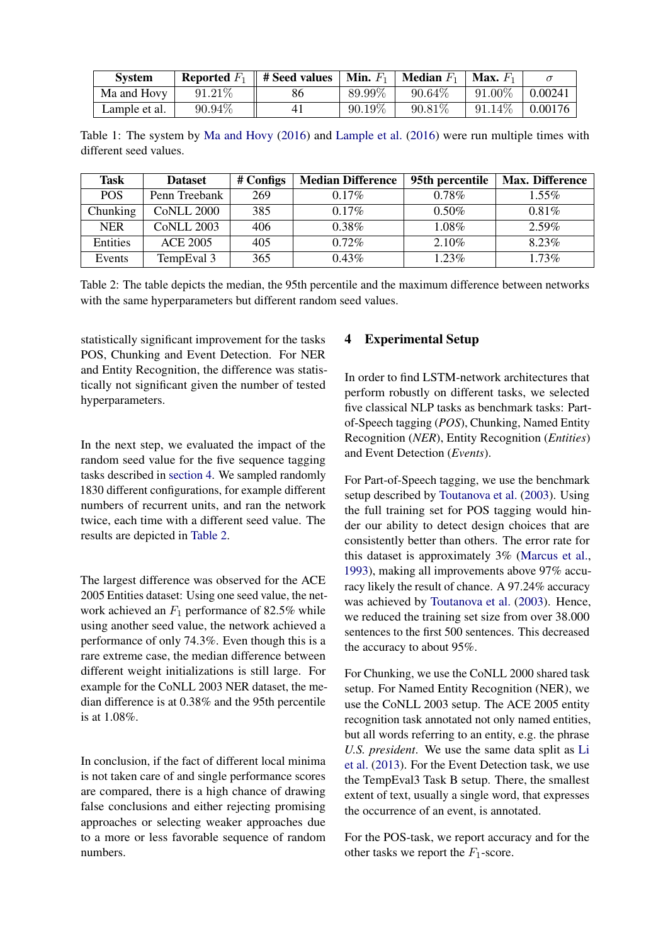<span id="page-3-0"></span>

| <b>System</b> |           | Reported $F_1 \parallel \text{\#}\mathbf{S}\text{eed}$ values | <b>Min.</b> $F_1$ | <b>Median</b> $F_1$ | <b>Max.</b> $F_1$ |                |
|---------------|-----------|---------------------------------------------------------------|-------------------|---------------------|-------------------|----------------|
| Ma and Hovy   | $91.21\%$ | 86                                                            | 89.99%            | $90.64\%$           | $91.00\%$         | $\pm 0.00241$  |
| Lample et al. | 90.94%    | 41                                                            | $90.19\%$         | $90.81\%$           | $91.14\%$         | $\mid 0.00176$ |

Table 1: The system by [Ma and Hovy](#page-9-0) [\(2016\)](#page-9-0) and [Lample et al.](#page-9-5) [\(2016\)](#page-9-5) were run multiple times with different seed values.

<span id="page-3-2"></span>

| Task       | <b>Dataset</b>    | # Configs | <b>Median Difference</b> | 95th percentile | <b>Max. Difference</b> |
|------------|-------------------|-----------|--------------------------|-----------------|------------------------|
| <b>POS</b> | Penn Treebank     | 269       | $0.17\%$                 | $0.78\%$        | $1.55\%$               |
| Chunking   | <b>CoNLL 2000</b> | 385       | $0.17\%$                 | $0.50\%$        | $0.81\%$               |
| <b>NER</b> | <b>CoNLL 2003</b> | 406       | $0.38\%$                 | $1.08\%$        | 2.59%                  |
| Entities   | <b>ACE 2005</b>   | 405       | $0.72\%$                 | $2.10\%$        | 8.23%                  |
| Events     | TempEval 3        | 365       | $0.43\%$                 | $1.23\%$        | $1.73\%$               |

Table 2: The table depicts the median, the 95th percentile and the maximum difference between networks with the same hyperparameters but different random seed values.

statistically significant improvement for the tasks POS, Chunking and Event Detection. For NER and Entity Recognition, the difference was statistically not significant given the number of tested hyperparameters.

In the next step, we evaluated the impact of the random seed value for the five sequence tagging tasks described in [section 4.](#page-3-1) We sampled randomly 1830 different configurations, for example different numbers of recurrent units, and ran the network twice, each time with a different seed value. The results are depicted in [Table 2.](#page-3-2)

The largest difference was observed for the ACE 2005 Entities dataset: Using one seed value, the network achieved an  $F_1$  performance of 82.5% while using another seed value, the network achieved a performance of only 74.3%. Even though this is a rare extreme case, the median difference between different weight initializations is still large. For example for the CoNLL 2003 NER dataset, the median difference is at 0.38% and the 95th percentile is at 1.08%.

In conclusion, if the fact of different local minima is not taken care of and single performance scores are compared, there is a high chance of drawing false conclusions and either rejecting promising approaches or selecting weaker approaches due to a more or less favorable sequence of random numbers.

## <span id="page-3-1"></span>4 Experimental Setup

In order to find LSTM-network architectures that perform robustly on different tasks, we selected five classical NLP tasks as benchmark tasks: Partof-Speech tagging (*POS*), Chunking, Named Entity Recognition (*NER*), Entity Recognition (*Entities*) and Event Detection (*Events*).

For Part-of-Speech tagging, we use the benchmark setup described by [Toutanova et al.](#page-10-3) [\(2003\)](#page-10-3). Using the full training set for POS tagging would hinder our ability to detect design choices that are consistently better than others. The error rate for this dataset is approximately 3% [\(Marcus et al.,](#page-9-12) [1993\)](#page-9-12), making all improvements above 97% accuracy likely the result of chance. A 97.24% accuracy was achieved by [Toutanova et al.](#page-10-3) [\(2003\)](#page-10-3). Hence, we reduced the training set size from over 38.000 sentences to the first 500 sentences. This decreased the accuracy to about 95%.

For Chunking, we use the CoNLL 2000 shared task setup. For Named Entity Recognition (NER), we use the CoNLL 2003 setup. The ACE 2005 entity recognition task annotated not only named entities, but all words referring to an entity, e.g. the phrase *U.S. president*. We use the same data split as [Li](#page-9-13) [et al.](#page-9-13) [\(2013\)](#page-9-13). For the Event Detection task, we use the TempEval3 Task B setup. There, the smallest extent of text, usually a single word, that expresses the occurrence of an event, is annotated.

For the POS-task, we report accuracy and for the other tasks we report the  $F_1$ -score.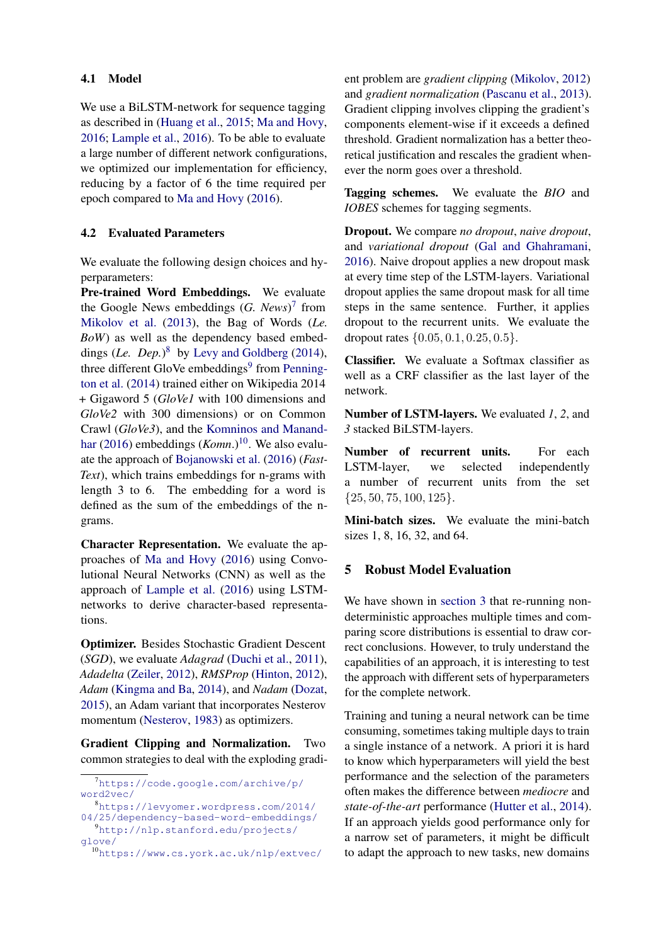## 4.1 Model

We use a BiLSTM-network for sequence tagging as described in [\(Huang et al.,](#page-9-14) [2015;](#page-9-14) [Ma and Hovy,](#page-9-0) [2016;](#page-9-0) [Lample et al.,](#page-9-5) [2016\)](#page-9-5). To be able to evaluate a large number of different network configurations, we optimized our implementation for efficiency, reducing by a factor of 6 the time required per epoch compared to [Ma and Hovy](#page-9-0) [\(2016\)](#page-9-0).

## <span id="page-4-4"></span>4.2 Evaluated Parameters

We evaluate the following design choices and hyperparameters:

Pre-trained Word Embeddings. We evaluate the Google News embeddings (*G. News*) [7](#page-4-0) from [Mikolov et al.](#page-9-15) [\(2013\)](#page-9-15), the Bag of Words (*Le. BoW*) as well as the dependency based embeddings (*Le. Dep.*) [8](#page-4-1) by [Levy and Goldberg](#page-9-16) [\(2014\)](#page-9-16), three different GloVe embeddings<sup>[9](#page-4-2)</sup> from [Penning](#page-10-4)[ton et al.](#page-10-4) [\(2014\)](#page-10-4) trained either on Wikipedia 2014 + Gigaword 5 (*GloVe1* with 100 dimensions and *GloVe2* with 300 dimensions) or on Common Crawl (*GloVe3*), and the [Komninos and Manand](#page-9-17)[har](#page-9-17) [\(2016\)](#page-9-17) embeddings (*Komn*.)<sup>[10](#page-4-3)</sup>. We also evaluate the approach of [Bojanowski et al.](#page-9-18) [\(2016\)](#page-9-18) (*Fast-Text*), which trains embeddings for n-grams with length 3 to 6. The embedding for a word is defined as the sum of the embeddings of the ngrams.

Character Representation. We evaluate the approaches of [Ma and Hovy](#page-9-0) [\(2016\)](#page-9-0) using Convolutional Neural Networks (CNN) as well as the approach of [Lample et al.](#page-9-5) [\(2016\)](#page-9-5) using LSTMnetworks to derive character-based representations.

Optimizer. Besides Stochastic Gradient Descent (*SGD*), we evaluate *Adagrad* [\(Duchi et al.,](#page-9-19) [2011\)](#page-9-19), *Adadelta* [\(Zeiler,](#page-10-5) [2012\)](#page-10-5), *RMSProp* [\(Hinton,](#page-9-20) [2012\)](#page-9-20), *Adam* [\(Kingma and Ba,](#page-9-21) [2014\)](#page-9-21), and *Nadam* [\(Dozat,](#page-9-22) [2015\)](#page-9-22), an Adam variant that incorporates Nesterov momentum [\(Nesterov,](#page-10-6) [1983\)](#page-10-6) as optimizers.

Gradient Clipping and Normalization. Two common strategies to deal with the exploding gradient problem are *gradient clipping* [\(Mikolov,](#page-9-23) [2012\)](#page-9-23) and *gradient normalization* [\(Pascanu et al.,](#page-10-7) [2013\)](#page-10-7). Gradient clipping involves clipping the gradient's components element-wise if it exceeds a defined threshold. Gradient normalization has a better theoretical justification and rescales the gradient whenever the norm goes over a threshold.

Tagging schemes. We evaluate the *BIO* and *IOBES* schemes for tagging segments.

Dropout. We compare *no dropout*, *naive dropout*, and *variational dropout* [\(Gal and Ghahramani,](#page-9-24) [2016\)](#page-9-24). Naive dropout applies a new dropout mask at every time step of the LSTM-layers. Variational dropout applies the same dropout mask for all time steps in the same sentence. Further, it applies dropout to the recurrent units. We evaluate the dropout rates  $\{0.05, 0.1, 0.25, 0.5\}.$ 

Classifier. We evaluate a Softmax classifier as well as a CRF classifier as the last layer of the network.

Number of LSTM-layers. We evaluated *1*, *2*, and *3* stacked BiLSTM-layers.

Number of recurrent units. For each LSTM-layer, we selected independently a number of recurrent units from the set  ${25, 50, 75, 100, 125}.$ 

Mini-batch sizes. We evaluate the mini-batch sizes 1, 8, 16, 32, and 64.

## 5 Robust Model Evaluation

We have shown in [section 3](#page-2-3) that re-running nondeterministic approaches multiple times and comparing score distributions is essential to draw correct conclusions. However, to truly understand the capabilities of an approach, it is interesting to test the approach with different sets of hyperparameters for the complete network.

Training and tuning a neural network can be time consuming, sometimes taking multiple days to train a single instance of a network. A priori it is hard to know which hyperparameters will yield the best performance and the selection of the parameters often makes the difference between *mediocre* and *state-of-the-art* performance [\(Hutter et al.,](#page-9-25) [2014\)](#page-9-25). If an approach yields good performance only for a narrow set of parameters, it might be difficult to adapt the approach to new tasks, new domains

<span id="page-4-0"></span><sup>7</sup>[https://code.google.com/archive/p/](https://code.google.com/archive/p/word2vec/) [word2vec/](https://code.google.com/archive/p/word2vec/)

<span id="page-4-2"></span><span id="page-4-1"></span><sup>8</sup>[https://levyomer.wordpress.com/2014/](https://levyomer.wordpress.com/2014/04/25/dependency-based-word-embeddings/) [04/25/dependency-based-word-embeddings/](https://levyomer.wordpress.com/2014/04/25/dependency-based-word-embeddings/) <sup>9</sup>[http://nlp.stanford.edu/projects/](http://nlp.stanford.edu/projects/glove/) [glove/](http://nlp.stanford.edu/projects/glove/)

<span id="page-4-3"></span><sup>10</sup><https://www.cs.york.ac.uk/nlp/extvec/>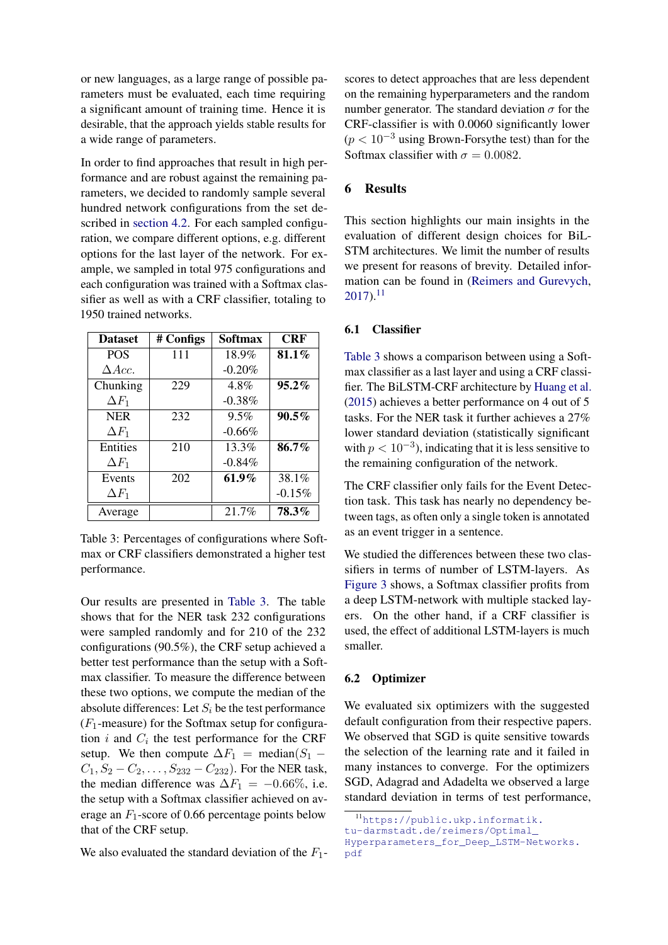or new languages, as a large range of possible parameters must be evaluated, each time requiring a significant amount of training time. Hence it is desirable, that the approach yields stable results for a wide range of parameters.

In order to find approaches that result in high performance and are robust against the remaining parameters, we decided to randomly sample several hundred network configurations from the set described in [section 4.2.](#page-4-4) For each sampled configuration, we compare different options, e.g. different options for the last layer of the network. For example, we sampled in total 975 configurations and each configuration was trained with a Softmax classifier as well as with a CRF classifier, totaling to 1950 trained networks.

<span id="page-5-0"></span>

| <b>Dataset</b> | # Configs | <b>Softmax</b> | <b>CRF</b> |
|----------------|-----------|----------------|------------|
| <b>POS</b>     | 111       | 18.9%          | 81.1%      |
| $\Delta Acc.$  |           | $-0.20%$       |            |
| Chunking       | 229       | 4.8%           | 95.2%      |
| $\Delta F_1$   |           | $-0.38%$       |            |
| <b>NER</b>     | 232       | $9.5\%$        | $90.5\%$   |
| $\Delta F_1$   |           | $-0.66%$       |            |
| Entities       | 210       | $13.3\%$       | 86.7%      |
| $\Delta F_1$   |           | $-0.84%$       |            |
| Events         | 202       | $61.9\%$       | 38.1%      |
| $\Delta F_1$   |           |                | $-0.15%$   |
| Average        |           | 21.7%          | 78.3%      |

Table 3: Percentages of configurations where Softmax or CRF classifiers demonstrated a higher test performance.

Our results are presented in [Table 3.](#page-5-0) The table shows that for the NER task 232 configurations were sampled randomly and for 210 of the 232 configurations (90.5%), the CRF setup achieved a better test performance than the setup with a Softmax classifier. To measure the difference between these two options, we compute the median of the absolute differences: Let  $S_i$  be the test performance  $(F_1$ -measure) for the Softmax setup for configuration  $i$  and  $C_i$  the test performance for the CRF setup. We then compute  $\Delta F_1$  = median( $S_1$  –  $C_1, S_2 - C_2, \ldots, S_{232} - C_{232}$ . For the NER task, the median difference was  $\Delta F_1 = -0.66\%$ , i.e. the setup with a Softmax classifier achieved on average an  $F_1$ -score of 0.66 percentage points below that of the CRF setup.

We also evaluated the standard deviation of the  $F_1$ -

scores to detect approaches that are less dependent on the remaining hyperparameters and the random number generator. The standard deviation  $\sigma$  for the CRF-classifier is with 0.0060 significantly lower  $(p < 10^{-3}$  using Brown-Forsythe test) than for the Softmax classifier with  $\sigma = 0.0082$ .

## 6 Results

This section highlights our main insights in the evaluation of different design choices for BiL-STM architectures. We limit the number of results we present for reasons of brevity. Detailed information can be found in [\(Reimers and Gurevych,](#page-10-0)  $2017$ ).<sup>[11](#page-5-1)</sup>

## 6.1 Classifier

[Table 3](#page-5-0) shows a comparison between using a Softmax classifier as a last layer and using a CRF classifier. The BiLSTM-CRF architecture by [Huang et al.](#page-9-14) [\(2015\)](#page-9-14) achieves a better performance on 4 out of 5 tasks. For the NER task it further achieves a 27% lower standard deviation (statistically significant with  $p < 10^{-3}$ ), indicating that it is less sensitive to the remaining configuration of the network.

The CRF classifier only fails for the Event Detection task. This task has nearly no dependency between tags, as often only a single token is annotated as an event trigger in a sentence.

We studied the differences between these two classifiers in terms of number of LSTM-layers. As [Figure 3](#page-6-1) shows, a Softmax classifier profits from a deep LSTM-network with multiple stacked layers. On the other hand, if a CRF classifier is used, the effect of additional LSTM-layers is much smaller.

#### 6.2 Optimizer

[pdf](https://public.ukp.informatik.tu-darmstadt.de/reimers/Optimal_Hyperparameters_for_Deep_LSTM-Networks.pdf)

We evaluated six optimizers with the suggested default configuration from their respective papers. We observed that SGD is quite sensitive towards the selection of the learning rate and it failed in many instances to converge. For the optimizers SGD, Adagrad and Adadelta we observed a large standard deviation in terms of test performance,

<span id="page-5-1"></span><sup>11</sup>[https://public.ukp.informatik.](https://public.ukp.informatik.tu-darmstadt.de/reimers/Optimal_Hyperparameters_for_Deep_LSTM-Networks.pdf) [tu-darmstadt.de/reimers/Optimal\\_](https://public.ukp.informatik.tu-darmstadt.de/reimers/Optimal_Hyperparameters_for_Deep_LSTM-Networks.pdf) [Hyperparameters\\_for\\_Deep\\_LSTM-Networks.](https://public.ukp.informatik.tu-darmstadt.de/reimers/Optimal_Hyperparameters_for_Deep_LSTM-Networks.pdf)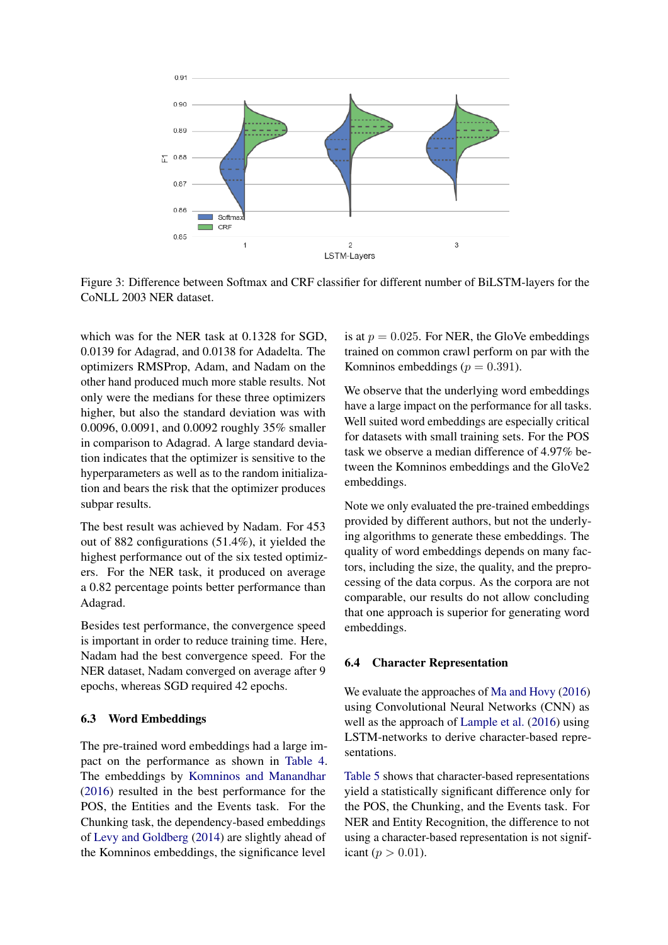<span id="page-6-1"></span>

Figure 3: Difference between Softmax and CRF classifier for different number of BiLSTM-layers for the CoNLL 2003 NER dataset.

which was for the NER task at 0.1328 for SGD, 0.0139 for Adagrad, and 0.0138 for Adadelta. The optimizers RMSProp, Adam, and Nadam on the other hand produced much more stable results. Not only were the medians for these three optimizers higher, but also the standard deviation was with 0.0096, 0.0091, and 0.0092 roughly 35% smaller in comparison to Adagrad. A large standard deviation indicates that the optimizer is sensitive to the hyperparameters as well as to the random initialization and bears the risk that the optimizer produces subpar results.

The best result was achieved by Nadam. For 453 out of 882 configurations (51.4%), it yielded the highest performance out of the six tested optimizers. For the NER task, it produced on average a 0.82 percentage points better performance than Adagrad.

Besides test performance, the convergence speed is important in order to reduce training time. Here, Nadam had the best convergence speed. For the NER dataset, Nadam converged on average after 9 epochs, whereas SGD required 42 epochs.

### 6.3 Word Embeddings

The pre-trained word embeddings had a large impact on the performance as shown in [Table 4.](#page-7-0) The embeddings by [Komninos and Manandhar](#page-9-17) [\(2016\)](#page-9-17) resulted in the best performance for the POS, the Entities and the Events task. For the Chunking task, the dependency-based embeddings of [Levy and Goldberg](#page-9-16) [\(2014\)](#page-9-16) are slightly ahead of the Komninos embeddings, the significance level

is at  $p = 0.025$ . For NER, the GloVe embeddings trained on common crawl perform on par with the Komninos embeddings ( $p = 0.391$ ).

We observe that the underlying word embeddings have a large impact on the performance for all tasks. Well suited word embeddings are especially critical for datasets with small training sets. For the POS task we observe a median difference of 4.97% between the Komninos embeddings and the GloVe2 embeddings.

Note we only evaluated the pre-trained embeddings provided by different authors, but not the underlying algorithms to generate these embeddings. The quality of word embeddings depends on many factors, including the size, the quality, and the preprocessing of the data corpus. As the corpora are not comparable, our results do not allow concluding that one approach is superior for generating word embeddings.

### <span id="page-6-0"></span>6.4 Character Representation

We evaluate the approaches of [Ma and Hovy](#page-9-0) [\(2016\)](#page-9-0) using Convolutional Neural Networks (CNN) as well as the approach of [Lample et al.](#page-9-5) [\(2016\)](#page-9-5) using LSTM-networks to derive character-based representations.

[Table 5](#page-7-1) shows that character-based representations yield a statistically significant difference only for the POS, the Chunking, and the Events task. For NER and Entity Recognition, the difference to not using a character-based representation is not significant ( $p > 0.01$ ).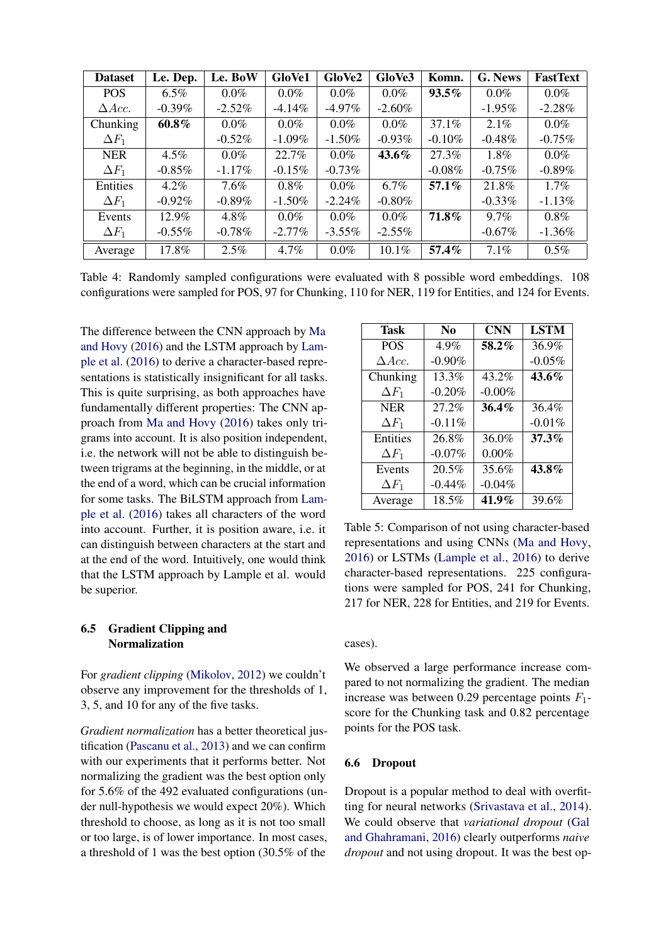<span id="page-7-0"></span>

| <b>Dataset</b> | Le. Dep.  | Le. BoW   | GloVe1    | GloVe2    | GloVe3    | Komn.     | G. News   | <b>FastText</b> |
|----------------|-----------|-----------|-----------|-----------|-----------|-----------|-----------|-----------------|
| <b>POS</b>     | $6.5\%$   | $0.0\%$   | $0.0\%$   | $0.0\%$   | $0.0\%$   | $93.5\%$  | $0.0\%$   | $0.0\%$         |
| $\Delta Acc.$  | $-0.39%$  | $-2.52%$  | $-4.14\%$ | $-4.97\%$ | $-2.60%$  |           | $-1.95\%$ | $-2.28%$        |
| Chunking       | $60.8\%$  | $0.0\%$   | $0.0\%$   | $0.0\%$   | $0.0\%$   | $37.1\%$  | $2.1\%$   | $0.0\%$         |
| $\Delta F_1$   |           | $-0.52%$  | $-1.09\%$ | $-1.50%$  | $-0.93\%$ | $-0.10\%$ | $-0.48\%$ | $-0.75%$        |
| <b>NER</b>     | $4.5\%$   | $0.0\%$   | 22.7%     | $0.0\%$   | 43.6%     | 27.3%     | $1.8\%$   | $0.0\%$         |
| $\Delta F_1$   | $-0.85\%$ | $-1.17\%$ | $-0.15%$  | $-0.73\%$ |           | $-0.08\%$ | $-0.75\%$ | $-0.89\%$       |
| Entities       | $4.2\%$   | $7.6\%$   | $0.8\%$   | $0.0\%$   | $6.7\%$   | $57.1\%$  | 21.8%     | $1.7\%$         |
| $\Delta F_1$   | $-0.92\%$ | $-0.89%$  | $-1.50\%$ | $-2.24\%$ | $-0.80\%$ |           | $-0.33\%$ | $-1.13\%$       |
| Events         | 12.9%     | 4.8%      | $0.0\%$   | $0.0\%$   | $0.0\%$   | 71.8%     | $9.7\%$   | $0.8\%$         |
| $\Delta F_1$   | $-0.55\%$ | $-0.78%$  | $-2.77\%$ | $-3.55\%$ | $-2.55\%$ |           | $-0.67\%$ | $-1.36%$        |
| Average        | 17.8%     | 2.5%      | 4.7%      | $0.0\%$   | 10.1%     | 57.4%     | 7.1%      | $0.5\%$         |

Table 4: Randomly sampled configurations were evaluated with 8 possible word embeddings. 108 configurations were sampled for POS, 97 for Chunking, 110 for NER, 119 for Entities, and 124 for Events.

The difference between the CNN approach by [Ma](#page-9-0) [and Hovy](#page-9-0) [\(2016\)](#page-9-0) and the LSTM approach by [Lam](#page-9-5)[ple et al.](#page-9-5) [\(2016\)](#page-9-5) to derive a character-based representations is statistically insignificant for all tasks. This is quite surprising, as both approaches have fundamentally different properties: The CNN approach from [Ma and Hovy](#page-9-0) [\(2016\)](#page-9-0) takes only trigrams into account. It is also position independent, i.e. the network will not be able to distinguish between trigrams at the beginning, in the middle, or at the end of a word, which can be crucial information for some tasks. The BiLSTM approach from [Lam](#page-9-5)[ple et al.](#page-9-5) [\(2016\)](#page-9-5) takes all characters of the word into account. Further, it is position aware, i.e. it can distinguish between characters at the start and at the end of the word. Intuitively, one would think that the LSTM approach by Lample et al. would be superior.

## 6.5 Gradient Clipping and Normalization

For *gradient clipping* [\(Mikolov,](#page-9-23) [2012\)](#page-9-23) we couldn't observe any improvement for the thresholds of 1, 3, 5, and 10 for any of the five tasks.

*Gradient normalization* has a better theoretical justification [\(Pascanu et al.,](#page-10-7) [2013\)](#page-10-7) and we can confirm with our experiments that it performs better. Not normalizing the gradient was the best option only for 5.6% of the 492 evaluated configurations (under null-hypothesis we would expect 20%). Which threshold to choose, as long as it is not too small or too large, is of lower importance. In most cases, a threshold of 1 was the best option (30.5% of the

<span id="page-7-1"></span>

| <b>Task</b>      | N <sub>0</sub> | <b>CNN</b> | <b>LSTM</b> |
|------------------|----------------|------------|-------------|
| <b>POS</b>       | 4.9%           | 58.2%      | 36.9%       |
| $\triangle Acc.$ | $-0.90%$       |            | $-0.05%$    |
| Chunking         | 13.3%          | 43.2%      | 43.6%       |
| $\Delta F_1$     | $-0.20%$       | $-0.00%$   |             |
| <b>NER</b>       | 27.2%          | 36.4%      | 36.4%       |
| $\Delta F_1$     | $-0.11%$       |            | $-0.01%$    |
| <b>Entities</b>  | 26.8%          | 36.0%      | 37.3%       |
| $\Delta F_1$     | $-0.07%$       | 0.00%      |             |
| Events           | 20.5%          | 35.6%      | 43.8%       |
| $\Delta F_1$     | $-0.44\%$      | $-0.04%$   |             |
| Average          | 18.5%          | $41.9\%$   | 39.6%       |

Table 5: Comparison of not using character-based representations and using CNNs [\(Ma and Hovy,](#page-9-0) [2016\)](#page-9-0) or LSTMs [\(Lample et al.,](#page-9-5) [2016\)](#page-9-5) to derive character-based representations. 225 configurations were sampled for POS, 241 for Chunking, 217 for NER, 228 for Entities, and 219 for Events.

## cases).

We observed a large performance increase compared to not normalizing the gradient. The median increase was between 0.29 percentage points  $F_1$ score for the Chunking task and 0.82 percentage points for the POS task.

#### 6.6 Dropout

Dropout is a popular method to deal with overfitting for neural networks [\(Srivastava et al.,](#page-10-8) [2014\)](#page-10-8). We could observe that *variational dropout* [\(Gal](#page-9-24) [and Ghahramani,](#page-9-24) [2016\)](#page-9-24) clearly outperforms *naive dropout* and not using dropout. It was the best op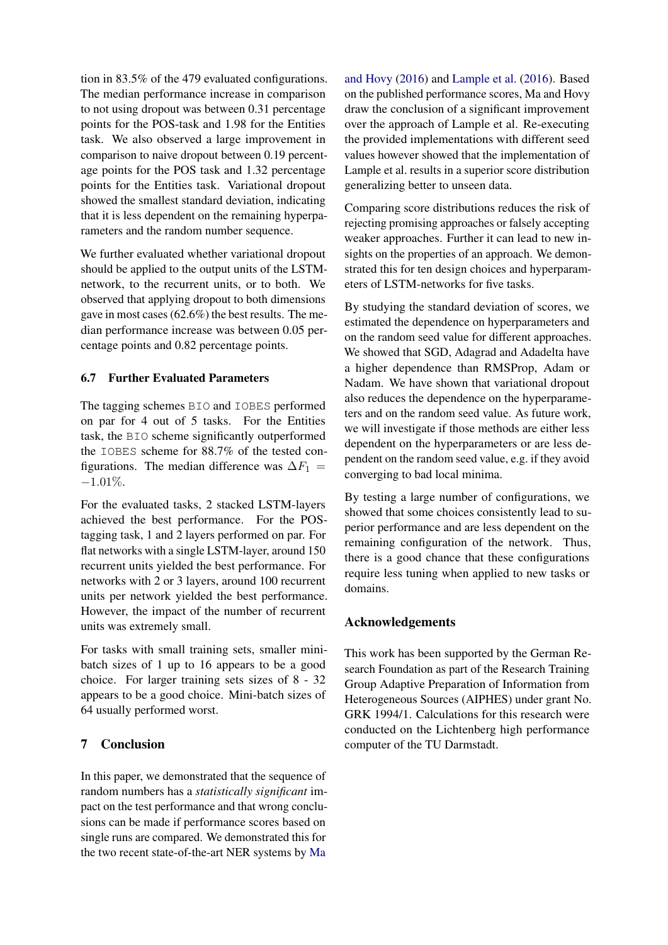tion in 83.5% of the 479 evaluated configurations. The median performance increase in comparison to not using dropout was between 0.31 percentage points for the POS-task and 1.98 for the Entities task. We also observed a large improvement in comparison to naive dropout between 0.19 percentage points for the POS task and 1.32 percentage points for the Entities task. Variational dropout showed the smallest standard deviation, indicating that it is less dependent on the remaining hyperparameters and the random number sequence.

We further evaluated whether variational dropout should be applied to the output units of the LSTMnetwork, to the recurrent units, or to both. We observed that applying dropout to both dimensions gave in most cases (62.6%) the best results. The median performance increase was between 0.05 percentage points and 0.82 percentage points.

## 6.7 Further Evaluated Parameters

The tagging schemes BIO and IOBES performed on par for 4 out of 5 tasks. For the Entities task, the BIO scheme significantly outperformed the IOBES scheme for 88.7% of the tested configurations. The median difference was  $\Delta F_1$  =  $-1.01\%$ .

For the evaluated tasks, 2 stacked LSTM-layers achieved the best performance. For the POStagging task, 1 and 2 layers performed on par. For flat networks with a single LSTM-layer, around 150 recurrent units yielded the best performance. For networks with 2 or 3 layers, around 100 recurrent units per network yielded the best performance. However, the impact of the number of recurrent units was extremely small.

For tasks with small training sets, smaller minibatch sizes of 1 up to 16 appears to be a good choice. For larger training sets sizes of 8 - 32 appears to be a good choice. Mini-batch sizes of 64 usually performed worst.

# 7 Conclusion

In this paper, we demonstrated that the sequence of random numbers has a *statistically significant* impact on the test performance and that wrong conclusions can be made if performance scores based on single runs are compared. We demonstrated this for the two recent state-of-the-art NER systems by [Ma](#page-9-0)

[and Hovy](#page-9-0) [\(2016\)](#page-9-0) and [Lample et al.](#page-9-5) [\(2016\)](#page-9-5). Based on the published performance scores, Ma and Hovy draw the conclusion of a significant improvement over the approach of Lample et al. Re-executing the provided implementations with different seed values however showed that the implementation of Lample et al. results in a superior score distribution generalizing better to unseen data.

Comparing score distributions reduces the risk of rejecting promising approaches or falsely accepting weaker approaches. Further it can lead to new insights on the properties of an approach. We demonstrated this for ten design choices and hyperparameters of LSTM-networks for five tasks.

By studying the standard deviation of scores, we estimated the dependence on hyperparameters and on the random seed value for different approaches. We showed that SGD, Adagrad and Adadelta have a higher dependence than RMSProp, Adam or Nadam. We have shown that variational dropout also reduces the dependence on the hyperparameters and on the random seed value. As future work, we will investigate if those methods are either less dependent on the hyperparameters or are less dependent on the random seed value, e.g. if they avoid converging to bad local minima.

By testing a large number of configurations, we showed that some choices consistently lead to superior performance and are less dependent on the remaining configuration of the network. Thus, there is a good chance that these configurations require less tuning when applied to new tasks or domains.

## Acknowledgements

This work has been supported by the German Research Foundation as part of the Research Training Group Adaptive Preparation of Information from Heterogeneous Sources (AIPHES) under grant No. GRK 1994/1. Calculations for this research were conducted on the Lichtenberg high performance computer of the TU Darmstadt.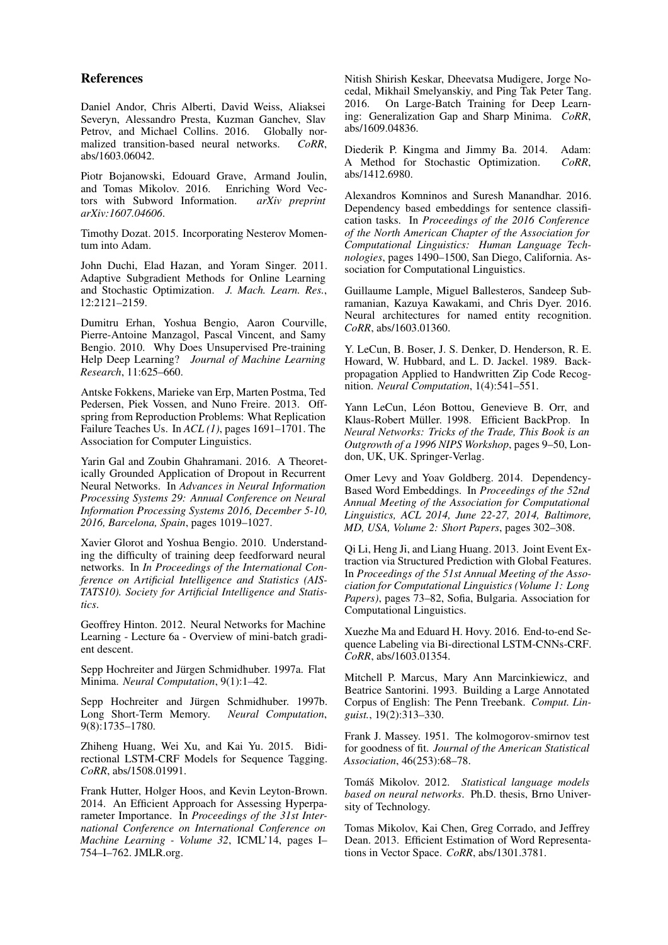## References

<span id="page-9-1"></span>Daniel Andor, Chris Alberti, David Weiss, Aliaksei Severyn, Alessandro Presta, Kuzman Ganchev, Slav Petrov, and Michael Collins. 2016. Globally normalized transition-based neural networks. *CoRR*, abs/1603.06042.

<span id="page-9-18"></span>Piotr Bojanowski, Edouard Grave, Armand Joulin, and Tomas Mikolov. 2016. tors with Subword Information. *arXiv preprint arXiv:1607.04606*.

<span id="page-9-22"></span>Timothy Dozat. 2015. Incorporating Nesterov Momentum into Adam.

<span id="page-9-19"></span>John Duchi, Elad Hazan, and Yoram Singer. 2011. Adaptive Subgradient Methods for Online Learning and Stochastic Optimization. *J. Mach. Learn. Res.*, 12:2121–2159.

<span id="page-9-3"></span>Dumitru Erhan, Yoshua Bengio, Aaron Courville, Pierre-Antoine Manzagol, Pascal Vincent, and Samy Bengio. 2010. Why Does Unsupervised Pre-training Help Deep Learning? *Journal of Machine Learning Research*, 11:625–660.

<span id="page-9-6"></span>Antske Fokkens, Marieke van Erp, Marten Postma, Ted Pedersen, Piek Vossen, and Nuno Freire. 2013. Offspring from Reproduction Problems: What Replication Failure Teaches Us. In *ACL (1)*, pages 1691–1701. The Association for Computer Linguistics.

<span id="page-9-24"></span>Yarin Gal and Zoubin Ghahramani. 2016. A Theoretically Grounded Application of Dropout in Recurrent Neural Networks. In *Advances in Neural Information Processing Systems 29: Annual Conference on Neural Information Processing Systems 2016, December 5-10, 2016, Barcelona, Spain*, pages 1019–1027.

<span id="page-9-9"></span>Xavier Glorot and Yoshua Bengio. 2010. Understanding the difficulty of training deep feedforward neural networks. In *In Proceedings of the International Conference on Artificial Intelligence and Statistics (AIS-TATS10). Society for Artificial Intelligence and Statistics*.

<span id="page-9-20"></span>Geoffrey Hinton. 2012. Neural Networks for Machine Learning - Lecture 6a - Overview of mini-batch gradient descent.

<span id="page-9-8"></span>Sepp Hochreiter and Jürgen Schmidhuber. 1997a. Flat Minima. *Neural Computation*, 9(1):1–42.

<span id="page-9-4"></span>Sepp Hochreiter and Jürgen Schmidhuber. 1997b. Long Short-Term Memory. *Neural Computation*, 9(8):1735–1780.

<span id="page-9-14"></span>Zhiheng Huang, Wei Xu, and Kai Yu. 2015. Bidirectional LSTM-CRF Models for Sequence Tagging. *CoRR*, abs/1508.01991.

<span id="page-9-25"></span>Frank Hutter, Holger Hoos, and Kevin Leyton-Brown. 2014. An Efficient Approach for Assessing Hyperparameter Importance. In *Proceedings of the 31st International Conference on International Conference on Machine Learning - Volume 32*, ICML'14, pages I– 754–I–762. JMLR.org.

<span id="page-9-7"></span>Nitish Shirish Keskar, Dheevatsa Mudigere, Jorge Nocedal, Mikhail Smelyanskiy, and Ping Tak Peter Tang. 2016. On Large-Batch Training for Deep Learning: Generalization Gap and Sharp Minima. *CoRR*, abs/1609.04836.

<span id="page-9-21"></span>Diederik P. Kingma and Jimmy Ba. 2014. Adam: A Method for Stochastic Optimization. *CoRR*, abs/1412.6980.

<span id="page-9-17"></span>Alexandros Komninos and Suresh Manandhar. 2016. Dependency based embeddings for sentence classification tasks. In *Proceedings of the 2016 Conference of the North American Chapter of the Association for Computational Linguistics: Human Language Technologies*, pages 1490–1500, San Diego, California. Association for Computational Linguistics.

<span id="page-9-5"></span>Guillaume Lample, Miguel Ballesteros, Sandeep Subramanian, Kazuya Kawakami, and Chris Dyer. 2016. Neural architectures for named entity recognition. *CoRR*, abs/1603.01360.

<span id="page-9-11"></span>Y. LeCun, B. Boser, J. S. Denker, D. Henderson, R. E. Howard, W. Hubbard, and L. D. Jackel. 1989. Backpropagation Applied to Handwritten Zip Code Recognition. *Neural Computation*, 1(4):541–551.

<span id="page-9-2"></span>Yann LeCun, Léon Bottou, Genevieve B. Orr, and Klaus-Robert Müller. 1998. Efficient BackProp. In *Neural Networks: Tricks of the Trade, This Book is an Outgrowth of a 1996 NIPS Workshop*, pages 9–50, London, UK, UK. Springer-Verlag.

<span id="page-9-16"></span>Omer Levy and Yoav Goldberg. 2014. Dependency-Based Word Embeddings. In *Proceedings of the 52nd Annual Meeting of the Association for Computational Linguistics, ACL 2014, June 22-27, 2014, Baltimore, MD, USA, Volume 2: Short Papers*, pages 302–308.

<span id="page-9-13"></span>Qi Li, Heng Ji, and Liang Huang. 2013. Joint Event Extraction via Structured Prediction with Global Features. In *Proceedings of the 51st Annual Meeting of the Association for Computational Linguistics (Volume 1: Long Papers)*, pages 73–82, Sofia, Bulgaria. Association for Computational Linguistics.

<span id="page-9-0"></span>Xuezhe Ma and Eduard H. Hovy. 2016. End-to-end Sequence Labeling via Bi-directional LSTM-CNNs-CRF. *CoRR*, abs/1603.01354.

<span id="page-9-12"></span>Mitchell P. Marcus, Mary Ann Marcinkiewicz, and Beatrice Santorini. 1993. Building a Large Annotated Corpus of English: The Penn Treebank. *Comput. Linguist.*, 19(2):313–330.

<span id="page-9-10"></span>Frank J. Massey. 1951. The kolmogorov-smirnov test for goodness of fit. *Journal of the American Statistical Association*, 46(253):68–78.

<span id="page-9-23"></span>Tomáš Mikolov. 2012. Statistical language models *based on neural networks*. Ph.D. thesis, Brno University of Technology.

<span id="page-9-15"></span>Tomas Mikolov, Kai Chen, Greg Corrado, and Jeffrey Dean. 2013. Efficient Estimation of Word Representations in Vector Space. *CoRR*, abs/1301.3781.